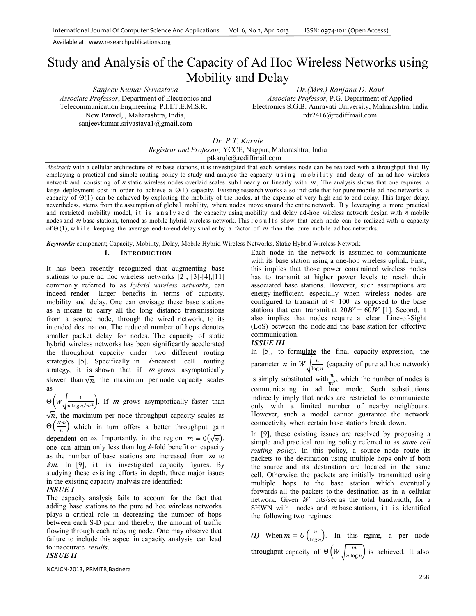# Study and Analysis of the Capacity of Ad Hoc Wireless Networks using Mobility and Delay

*Sanjeev Kumar Srivastava Associate Professor*, Department of Electronics and Telecommunication Engineering P.I.I.T.E.M.S.R. New Panvel, , Maharashtra, India, sanjeevkumar.srivastava1@gmail.com

*Dr.(Mrs.) Ranjana D. Raut Associate Professor*, P.G. Department of Applied Electronics S.G.B. Amravati University, Maharashtra, India rdr2416@rediffmail.com

*Dr. P.T. Karule Registrar and Professor,* YCCE, Nagpur, Maharashtra, India ptkarule@rediffmail.com

*Abstract***:** with a cellular architecture of  $m$  base stations, it is investigated that each wireless node can be realized with a throughput that By employing a practical and simple routing policy to study and analyse the capacity using mobility and delay of an ad-hoc wireless network and consisting of  $n$  static wireless nodes overlaid scales sub linearly or linearly with  $m$ . The analysis shows that one requires a large deployment cost in order to achieve a Θ(1) capacity. Existing research works also indicate that for pure mobile ad hoc networks, a capacity of  $\Theta(1)$  can be achieved by exploiting the mobility of the nodes, at the expense of very high end-to-end delay. This larger delay, nevertheless, stems from the assumption of global mobility, where nodes move around the entire network. B y leveraging a more practical and restricted mobility model, it is analysed the capacity using mobility and delay ad-hoc wireless network design with  $n$  mobile nodes and *m* base stations, termed as mobile hybrid wireless network. This r e s u l t s show that each node can be realized with a capacity of  $\Theta(1)$ , while keeping the average end-to-end delay smaller by a factor of m than the pure mobile ad hoc networks.

*Keywords:* component; Capacity, Mobility, Delay, Mobile Hybrid Wireless Networks, Static Hybrid Wireless Network

# **I. INTRODUCTION**

It has been recently recognized that augmenting base stations to pure ad hoc wireless networks [2], [3]-[4],[11] commonly referred to as *hybrid wireless networks*, can indeed render larger benefits in terms of capacity, mobility and delay. One can envisage these base stations as a means to carry all the long distance transmissions from a source node, through the wired network, to its intended destination. The reduced number of hops denotes smaller packet delay for nodes. The capacity of static hybrid wireless networks has been significantly accelerated the throughput capacity under two different routing strategies [5]. Specifically in  $k$ -nearest cell routing strategy, it is shown that if  $m$  grows asymptotically slower than  $\sqrt{n}$ , the maximum per node capacity scales as

 $\Theta\left(w\sqrt{\frac{1}{n\log n/m^2}}\right)$ . If *m* grows asymptotically faster than

 $\sqrt{n}$ , the maximum per node throughput capacity scales as  $\Theta\left(\frac{Wm}{n}\right)$  which in turn offers a better throughput gain dependent on *m*. Importantly, in the region  $m = 0(\sqrt{n})$ , one can attain only less than  $log k$ -fold benefit on capacity as the number of base stations are increased from  $m$  to  $km$ . In [9], it is investigated capacity figures. By studying these existing efforts in depth, three major issues in the existing capacity analysis are identified:

## *ISSUE I*

The capacity analysis fails to account for the fact that adding base stations to the pure ad hoc wireless networks plays a critical role in decreasing the number of hops between each S-D pair and thereby, the amount of traffic flowing through each relaying node. One may observe that failure to include this aspect in capacity analysis can lead to inaccurate *results*.

# *ISSUE II*

NCAICN‐2013, PRMITR,Badnera

Each node in the network is assumed to communicate with its base station using a one-hop wireless uplink. First, this implies that those power constrained wireless nodes has to transmit at higher power levels to reach their associated base stations. However, such assumptions are energy-inefficient, especially when wireless nodes are configured to transmit at *<* 100as opposed to the base stations that can transmit at  $20W - 60W$  [1]. Second, it also implies that nodes require a clear Line-of-Sight (LoS) between the node and the base station for effective communication.

## *ISSUE III*

In [5], to formulate the final capacity expression, the parameter *n* in  $W\sqrt{\frac{n}{\log n}}$  (capacity of pure ad hoc network) is simply substituted with  $\frac{n}{m^2}$ , which the number of nodes is communicating in ad hoc mode. Such substitutions indirectly imply that nodes are restricted to communicate only with a limited number of nearby neighbours. However, such a model cannot guarantee the network connectivity when certain base stations break down.

In [9], these existing issues are resolved by proposing a simple and practical routing policy referred to as *same cell routing policy*. In this policy, a source node route its packets to the destination using multiple hops only if both the source and its destination are located in the same cell. Otherwise, the packets are initially transmitted using multiple hops to the base station which eventually forwards all the packets to the destination as in a cellular network. Given  $W$  bits/sec as the total bandwidth, for a SHWN with nodes and  $m$  base stations, it is identified the following two regimes:

(1) When  $m = O\left(\frac{n}{\log n}\right)$ . In this regime, a per node throughput capacity of  $\Theta\left(W\sqrt{\frac{m}{n \log n}}\right)$  is achieved. It also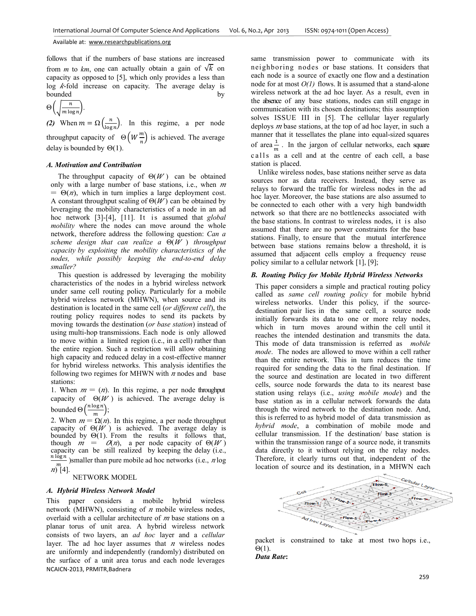follows that if the numbers of base stations are increased from *m* to *km*, one can actually obtain a gain of  $\sqrt{k}$  on capacity as opposed to [5], which only provides a less than  $log$   $k$ -fold increase on capacity. The average delay is bounded by by by the set of  $\mathbf{b}$ 

$$
\Theta\left(\sqrt{\frac{n}{m\log n}}\right).
$$

(2) When  $m = \Omega\left(\frac{n}{\log n}\right)$ . In this regime, a per node throughput capacity of  $\Theta\left(W\frac{m}{n}\right)$  is achieved. The average delay is bounded by  $\Theta(1)$ .

#### *A. Motivation and Contribution*

The throughput capacity of  $\Theta(W)$  can be obtained only with a large number of base stations, i.e., when  $m$  $= \Theta(n)$ , which in turn implies a large deployment cost. A constant throughput scaling of  $\Theta(W)$  can be obtained by leveraging the mobility characteristics of a node in an ad hoc network [3]-[4], [11]. It is assumed that *global mobility* where the nodes can move around the whole network, therefore address the following question: *Can a scheme design that can realize a* Θ(ܹ ) *throughput capacity by exploiting the mobility characteristics of the nodes, while possibly keeping the end-to-end delay smaller?*

This question is addressed by leveraging the mobility characteristics of the nodes in a hybrid wireless network under same cell routing policy. Particularly for a mobile hybrid wireless network (MHWN), when source and its destination is located in the same cell (*or different cell*), the routing policy requires nodes to send its packets by moving towards the destination (*or base station*) instead of using multi-hop transmissions. Each node is only allowed to move within a limited region (i.e., in a cell) rather than the entire region. Such a restriction will allow obtaining high capacity and reduced delay in a cost-effective manner for hybrid wireless networks. This analysis identifies the following two regimes for MHWN with  $n$  nodes and base stations:

1. When  $m = (n)$ . In this regime, a per node throughput capacity of  $\Theta(W)$  is achieved. The average delay is bounded  $\Theta\left(\frac{n \log n}{m}\right);$ 

2. When  $m = \Omega(n)$ . In this regime, a per node throughput capacity of  $\Theta(W)$  is achieved. The average delay is bounded by  $\Theta(1)$ . From the results it follows that, though  $m = \alpha(n)$ , a per node capacity of  $\Theta(W)$ capacity can be still realized by keeping the delay (i.e.,  $\frac{n \log n}{m}$ ) smaller than pure mobile ad hoc networks (i.e., *n* log  $\binom{m}{2}$ [4].

## NETWORK MODEL

#### *A. Hybrid Wireless Network Model*

NCAICN‐2013, PRMITR,Badnera This paper considers a mobile hybrid wireless network (MHWN), consisting of  $n$  mobile wireless nodes, overlaid with a cellular architecture of  $m$  base stations on a planar torus of unit area. A hybrid wireless network consists of two layers, an *ad hoc* layer and a *cellular*  layer. The ad hoc layer assumes that  $n$  wireless nodes are uniformly and independently (randomly) distributed on the surface of a unit area torus and each node leverages same transmission power to communicate with its neighboring nodes or base stations. It considers that each node is a source of exactly one flow and a destination node for at most *Ο(1)* flows. It is assumed that a stand-alone wireless network at the ad hoc layer. As a result, even in the absence of any base stations, nodes can still engage in communication with its chosen destinations; this assumption solves ISSUE III in [5]. The cellular layer regularly deploys  $m$  base stations, at the top of ad hoc layer, in such a manner that it tessellates the plane into equal-sized squares of area $\frac{1}{m}$ . In the jargon of cellular networks, each square calls as a cell and at the centre of each cell, a base station is placed.

Unlike wireless nodes, base stations neither serve as data sources nor as data receivers. Instead, they serve as relays to forward the traffic for wireless nodes in the ad hoc layer. Moreover, the base stations are also assumed to be connected to each other with a very high bandwidth network so that there are no bottlenecks associated with the base stations. In contrast to wireless nodes, it is also assumed that there are no power constraints for the base stations. Finally, to ensure that the mutual interference between base stations remains below a threshold, it is assumed that adjacent cells employ a frequency reuse policy similar to a cellular network [1], [9];

## *B. Routing Policy for Mobile Hybrid Wireless Networks*

This paper considers a simple and practical routing policy called as *same cell routing policy* for mobile hybrid wireless networks. Under this policy, if the sourcedestination pair lies in the same cell, a source node initially forwards its data to one or more relay nodes, which in turn moves around within the cell until it reaches the intended destination and transmits the data. This mode of data transmission is referred as *mobile mode*. The nodes are allowed to move within a cell rather than the entire network. This in turn reduces the time required for sending the data to the final destination. If the source and destination are located in two different cells, source node forwards the data to its nearest base station using relays (i.e., *using mobile mode*) and the base station as in a cellular network forwards the data through the wired network to the destination node. And, this is referred to as hybrid model of data transmission as *hybrid mode*, a combination of mobile mode and cellular transmission. If the destination/ base station is within the transmission range of a source node, it transmits data directly to it without relying on the relay nodes. Therefore, it clearly turns out that, independent of the location of source and its destination, in a MHWN each



packet is constrained to take at most two hops i.e., Θ(1).

*Data Rate***:**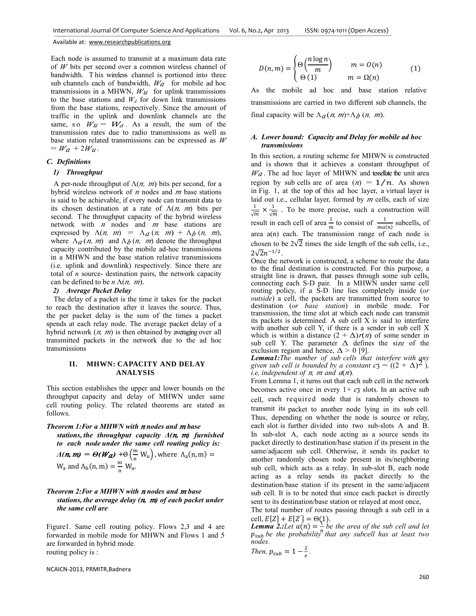Each node is assumed to transmit at a maximum data rate of  $W$  bits per second over a common wireless channel of bandwidth. T his wireless channel is portioned into three sub channels each of bandwidth,  $W_a$  for mobile ad hoc transmissions in a MHWN,  $W_{\mathcal{U}}$  for uplink transmissions to the base stations and  $W_d$  for down link transmissions from the base stations, respectively. Since the amount of traffic in the uplink and downlink channels are the same, so  $W_u = W_d$ . As a result, the sum of the transmission rates due to radio transmissions as well as base station related transmissions can be expressed as  $W$  $= W_a + 2W_u.$ 

## *C. Definitions*

#### *1) Throughput*

A per-node throughput of  $\Lambda(n, m)$  bits per second, for a hybrid wireless network of  $n$  nodes and  $m$  base stations is said to be achievable, if every node can transmit data to its chosen destination at a rate of  $\Lambda(n, m)$  bits per second. The throughput capacity of the hybrid wireless network with *n* nodes and *m* base stations are expressed by  $\Lambda(n, m) = \Lambda_a(n, m) + \Lambda_b(n, m)$ , where  $\Lambda_{\alpha}(n, m)$  and  $\Lambda_{\beta}(n, m)$  denote the throughput capacity contributed by the mobile ad-hoc transmissions in a MHWN and the base station relative transmissions (i.e. uplink and downlink) respectively. Since there are total of *n* source- destination pairs, the network capacity can be defined to be  $n \Lambda(n, m)$ .

#### *2) Average Packet Delay*

The delay of a packet is the time it takes for the packet to reach the destination after it leaves the source. Thus, the per packet delay is the sum of the times a packet spends at each relay node. The average packet delay of a hybrid network  $(n, m)$  is then obtained by averaging over all transmitted packets in the network due to the ad hoc transmissions

# **II. MHWN: CAPACITY AND DELAY ANALYSIS**

This section establishes the upper and lower bounds on the throughput capacity and delay of MHWN under same cell routing policy. The related theorems are stated as follows.

*Theorem 1: For a MHWN with n nodes and m base stations, the throughput capacity Λ(*݊*,* ݉*) furnished to each node under the same cell routing policy is:* 

$$
\Lambda(n, m) = \Theta(Wa) + \Theta\left(\frac{m}{n} W_u\right), \text{ where } \Lambda_a(n, m) = W_a \text{ and } \Lambda_b(n, m) = \frac{m}{n} W_u.
$$

## *Theorem 2: For a MHWN with n nodes and m base stations, the average delay (n, m) of each packet under the same cell are*

Figure1. Same cell routing policy. Flows 2,3 and 4 are forwarded in mobile mode for MHWN and Flows 1 and 5 are forwarded in hybrid mode. routing policy is :

$$
D(n,m) = \begin{cases} \Theta\left(\frac{n \log n}{m}\right) & m = O(n) \\ \Theta(1) & m = \Omega(n) \end{cases}
$$
 (1)

As the mobile ad hoc and base station relative transmissions are carried in two different sub channels, the final capacity will be  $\Lambda_a(n, m) + \Lambda_b(n, m)$ .

#### *A. Lower bound: Capacity and Delay for mobile ad hoc transmissions*

In this section, a routing scheme for MHWN is constructed and is shown that it achieves a constant throughput of  $W_a$ . The ad hoc layer of MHWN and tessellate the unit area region by sub cells are of area  $(n) = 1/n$ . As shown in Fig. 1, at the top of this ad hoc layer, a virtual layer is laid out i.e., cellular layer, formed by  $m$  cells, each of size  $\frac{1}{\sqrt{m}} \times \frac{1}{\sqrt{m}}$ . To be more precise, such a construction will result in each cell of area  $\frac{1}{m}$  to consist of  $\frac{1}{ma(n)}$  subcells, of area a(n) each. The transmission range of each node is chosen to be  $2\sqrt{2}$  times the side length of the sub cells, i.e.,  $2\sqrt{2}n^{-1/2}$ .

Once the network is constructed, a scheme to route the data to the final destination is constructed. For this purpose, a straight line is drawn, that passes through some sub cells, connecting each S-D pair. In a MHWN under same cell routing policy, if a S-D line lies completely inside (*or outside*) a cell, the packets are transmitted from source to destination (*or base station*) in mobile mode. For transmission, the time slot at which each node can transmit its packets is determined. A sub cell X is said to interfere with another sub cell Y, if there is a sender in sub cell X which is within a distance  $(2 + \Delta)\ell(n)$  of some sender in sub cell Y. The parameter  $\Delta$  defines the size of the exclusion region and hence,  $\Delta > 0$  [9].

*Lemma1:The number of sub cells that interfere with any given sub cell is bounded by a constant*  $c_3 = ((2 + \Delta)^2)$ ,  $i.e., independent of  $n$ *, m* and  $a(n)$ .$ 

From Lemma 1, it turns out that each sub cell in the network becomes active once in every  $1 + c_3$  slots. In an active sub cell, each required node that is randomly chosen to transmit its packet to another node lying in its sub cell. Thus, depending on whether the node is source or relay, each slot is further divided into two sub-slots A and B. In sub-slot A, each node acting as a source sends its packet directly to destination/base station if its present in the same/adjacent sub cell. Otherwise, it sends its packet to another randomly chosen node present in its/neighboring sub cell, which acts as a relay. In sub-slot B, each node acting as a relay sends its packet directly to the destination/base station if its present in the same/adjacent sub cell. It is to be noted that since each packet is directly sent to its destination/base station or relayed at most once,

The total number of routes passing through a sub cell in a cell,  $E[Z] + E[Z'] = \Theta(1)$ .

 $\sum_{k=1}^{\infty}$   $\sum_{i=1}^{\infty}$   $\sum_{i=1}^{\infty}$   $\sum_{k=1}^{\infty}$  *be the area of the sub cell and let*  $\sum_{k=1}^{\infty}$  *be subsettly here at legal* two  $p_{sub}$  be the probability<sup>n</sup> that any subcell has at least two *nodes.* 

Then, 
$$
p_{sub} = 1 - \frac{2}{e}
$$
.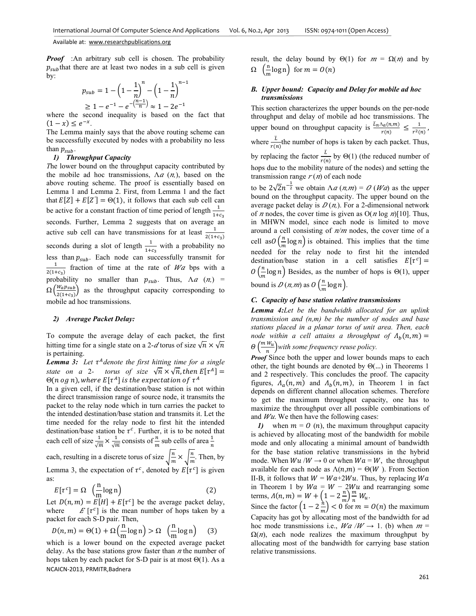*Proof* :An arbitrary sub cell is chosen. The probability  $p_{sub}$ that there are at least two nodes in a sub cell is given by:  $-1$ 

$$
p_{sub} = 1 - \left(1 - \frac{1}{n}\right)^n - \left(1 - \frac{1}{n}\right)^{n-1}
$$
  
\n
$$
\geq 1 - e^{-1} - e^{-\left(\frac{n-1}{n}\right)} \approx 1 - 2e^{-1}
$$

where the second inequality is based on the fact that  $(1-x) \le e^{-x}$ .

The Lemma mainly says that the above routing scheme can be successfully executed by nodes with a probability no less than  $p_{sub}$ .

## *1) Throughput Capacity*

*T*he lower bound on the throughput capacity contributed by the mobile ad hoc transmissions,  $\Lambda a$  ( $n$ ), based on the above routing scheme. The proof is essentially based on Lemma 1 and Lemma 2. First, from Lemma 1 and the fact that  $E[Z] + E[Z'] = \Theta(1)$ , it follows that each sub cell can be active for a constant fraction of time period of length  $\frac{1}{1+c_3}$ seconds. Further, Lemma 2 suggests that on average an active sub cell can have transmissions for at least  $\frac{1}{2(1+c_3)}$ seconds during a slot of length  $\frac{1}{1+c_3}$  with a probability no less than  $p_{sub}$ . Each node can successfully transmit for  $\frac{1}{2(1+c_3)}$  fraction of time at the rate of Wa bps with a probability no smaller than  $p_{sub}$ . Thus,  $\Lambda a$  ( $\alpha$ ) =  $\Omega\left(\frac{W_a p_{sub}}{2(4+\epsilon)}\right)$  $\frac{w_1w_2w_3}{2(1+c_3)}$  as the throughput capacity corresponding to mobile ad hoc transmissions.

#### *2) Average Packet Delay:*

To compute the average delay of each packet, the first hitting time for a single state on a 2- $d$  torus of size  $\sqrt{n} \times \sqrt{n}$ is pertaining.

*Lemma 3: Let*  $\tau^A$ *denote the first hitting time for a single state on a* 2- *torus of size*  $\sqrt{n} \times \sqrt{n}$ , then  $E[\tau^A]$  =  $\Theta(n \text{ og } n)$ , where  $E[\tau^A]$  is the expectation of  $\tau^A$ 

In a given cell, if the destination/base station is not within the direct transmission range of source node, it transmits the packet to the relay node which in turn carries the packet to the intended destination/base station and transmits it. Let the time needed for the relay node to first hit the intended destination/base station be  $\tau^c$ . Further, it is to be noted that each cell of size  $\frac{1}{\sqrt{m}} \times \frac{1}{\sqrt{m}}$  consists of  $\frac{n}{m}$  sub cells of area  $\frac{1}{n}$ each, resulting in a discrete torus of size  $\sqrt{\frac{n}{m}} \times \sqrt{\frac{n}{m}}$ . Then, by

Lemma 3, the expectation of  $\tau^c$ , denoted by  $E[\tau^c]$  is given as:

$$
E[\tau^c] = \Omega \left(\frac{\ln \log n}{n} \log n\right) \tag{2}
$$

Let  $D(n, m) = E[H] + E[\tau^c]$  be the average packet delay, where  $E[\tau^c]$  is the mean number of hops taken by a packet for each S-D pair. Then,

$$
D(n,m) = \Theta(1) + \Omega\left(\frac{n}{m}\log n\right) > \Omega \quad \left(\frac{n}{m}\log n\right) \tag{3}
$$

NCAICN‐2013, PRMITR,Badnera which is a lower bound on the expected average packet delay. As the base stations grow faster than  $n$  the number of hops taken by each packet for S-D pair is at most  $\Theta(1)$ . As a

result, the delay bound by  $\Theta(1)$  for  $m = \Omega(n)$  and by  $\Omega$   $\left(\frac{\text{n}}{\text{m}}\log n\right)$  for  $m = O(n)$ 

# *B. Upper bound: Capacity and Delay for mobile ad hoc transmissions*

This section characterizes the upper bounds on the per-node throughput and delay of mobile ad hoc transmissions. The upper bound on throughput capacity is  $\frac{L_n \Lambda_a(n,m)}{r(n)} \leq \frac{1}{r^2(n)}$ , where  $\frac{\bar{L}}{r(n)}$  the number of hops is taken by each packet. Thus, by replacing the factor  $\frac{\bar{L}}{r(n)}$  by  $\Theta(1)$  (the reduced number of hops due to the mobility nature of the nodes) and setting the transmission range  $r(n)$  of each node

to be  $2\sqrt{2}n^{-\frac{1}{2}}$  we obtain  $\Lambda a(n,m) = O(Wa)$  as the upper bound on the throughput capacity. The upper bound on the average packet delay is  $D(n)$ . For a 2-dimensional network of *n* nodes, the cover time is given as  $O(n \log n)[10]$ . Thus, in MHWN model, since each node is limited to move around a cell consisting of  $n/m$  nodes, the cover time of a cell as  $O\left(\frac{n}{m}\log n\right)$  is obtained. This implies that the time needed for the relay node to first hit the intended destination/base station in a cell satisfies  $E[\tau^c] =$  $O\left(\frac{n}{m}\log n\right)$  Besides, as the number of hops is  $\Theta(1)$ , upper bound is  $D(n,m)$  as  $O\left(\frac{n}{m}\log n\right)$ .

# *C. Capacity of base station relative transmissions*

*Lemma 4:Let be the bandwidth allocated for an uplink transmission and (n,m) be the number of nodes and base stations placed in a planar torus of unit area. Then, each node within a cell attains a throughput of*  $\Lambda_b(n,m)$  =  $\Theta\left(\frac{m w_u}{n}\right)$  with some frequency reuse policy.

*Proof* Since both the upper and lower bounds maps to each other, the tight bounds are denoted by  $\Theta$ (...) in Theorems 1 and 2 respectively. This concludes the proof. The capacity figures,  $\Lambda_a(n,m)$  and  $\Lambda_b(n,m)$ , in Theorem 1 in fact depends on different channel allocation schemes. Therefore to get the maximum throughput capacity, one has to maximize the throughput over all possible combinations of and  $Wu$ . We then have the following cases:

*1)* when  $m = 0$  (*n*), the maximum throughput capacity is achieved by allocating most of the bandwidth for mobile mode and only allocating a minimal amount of bandwidth for the base station relative transmissions in the hybrid mode. When  $Wu / W \rightarrow 0$  or when  $Wa = W$ , the throughput available for each node as  $\Lambda(n,m) = \Theta(W)$ . From Section II-B, it follows that  $W = Wa + 2Wu$ . Thus, by replacing Wa in Theorem 1 by  $Wa = W - 2Wu$  and rearranging some terms,  $\Lambda(n, m) = W + \left(1 - 2\frac{n}{m}\right)\frac{m}{n}W_u$ .

Since the factor  $\left(1 - 2\frac{\lambda}{m}\right) < 0$  for  $m = O(n)$  the maximum Capacity has got by allocating most of the bandwidth for ad hoc mode transmissions i.e.,  $Wa/W \rightarrow 1$ . (b) when  $m =$  $\Omega(n)$ , each node realizes the maximum throughput by allocating most of the bandwidth for carrying base station relative transmissions.